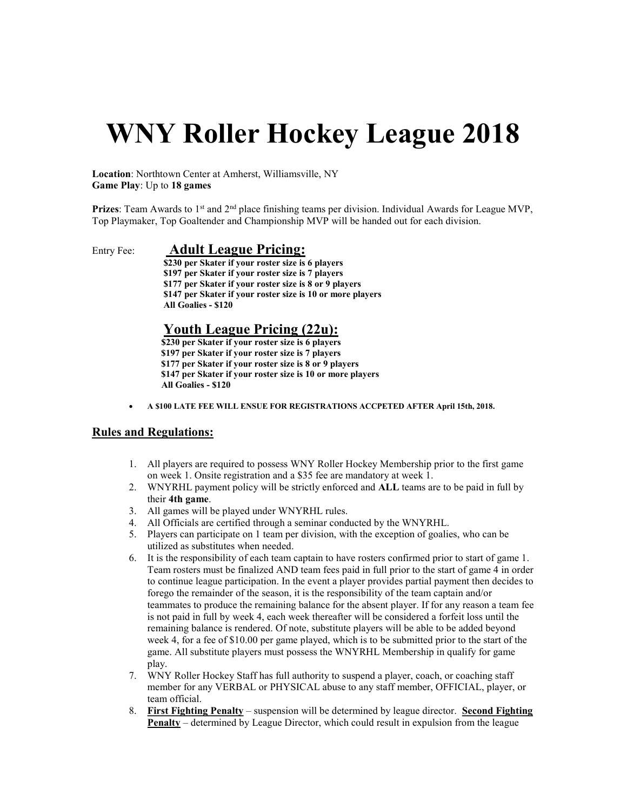# WNY Roller Hockey League 2018

Location: Northtown Center at Amherst, Williamsville, NY Game Play: Up to 18 games

**Prizes:** Team Awards to  $1<sup>st</sup>$  and  $2<sup>nd</sup>$  place finishing teams per division. Individual Awards for League MVP, Top Playmaker, Top Goaltender and Championship MVP will be handed out for each division.

## Entry Fee: Adult League Pricing:

 \$230 per Skater if your roster size is 6 players \$197 per Skater if your roster size is 7 players \$177 per Skater if your roster size is 8 or 9 players \$147 per Skater if your roster size is 10 or more players All Goalies - \$120

## Youth League Pricing (22u):

 \$230 per Skater if your roster size is 6 players \$197 per Skater if your roster size is 7 players \$177 per Skater if your roster size is 8 or 9 players \$147 per Skater if your roster size is 10 or more players All Goalies - \$120

A \$100 LATE FEE WILL ENSUE FOR REGISTRATIONS ACCPETED AFTER April 15th, 2018.

### Rules and Regulations:

- 1. All players are required to possess WNY Roller Hockey Membership prior to the first game on week 1. Onsite registration and a \$35 fee are mandatory at week 1.
- 2. WNYRHL payment policy will be strictly enforced and ALL teams are to be paid in full by their 4th game.
- 3. All games will be played under WNYRHL rules.
- 4. All Officials are certified through a seminar conducted by the WNYRHL.
- 5. Players can participate on 1 team per division, with the exception of goalies, who can be utilized as substitutes when needed.
- 6. It is the responsibility of each team captain to have rosters confirmed prior to start of game 1. Team rosters must be finalized AND team fees paid in full prior to the start of game 4 in order to continue league participation. In the event a player provides partial payment then decides to forego the remainder of the season, it is the responsibility of the team captain and/or teammates to produce the remaining balance for the absent player. If for any reason a team fee is not paid in full by week 4, each week thereafter will be considered a forfeit loss until the remaining balance is rendered. Of note, substitute players will be able to be added beyond week 4, for a fee of \$10.00 per game played, which is to be submitted prior to the start of the game. All substitute players must possess the WNYRHL Membership in qualify for game play.
- 7. WNY Roller Hockey Staff has full authority to suspend a player, coach, or coaching staff member for any VERBAL or PHYSICAL abuse to any staff member, OFFICIAL, player, or team official.
- 8. First Fighting Penalty suspension will be determined by league director. Second Fighting Penalty – determined by League Director, which could result in expulsion from the league